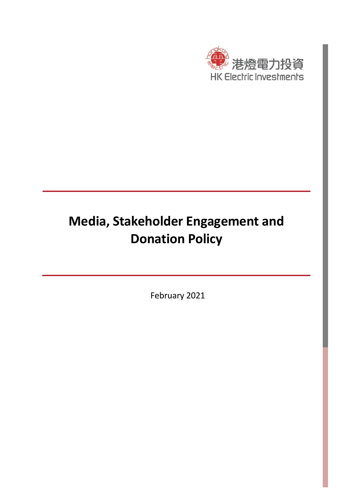

# **Media, Stakeholder Engagement and Donation Policy**

February 2021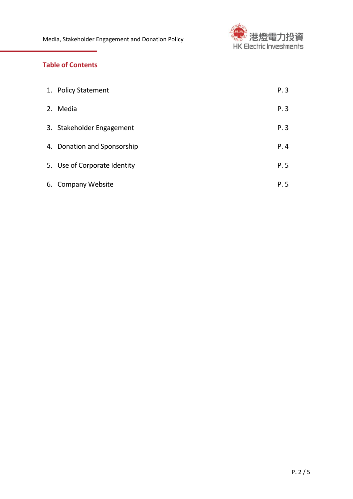

## **Table of Contents**

| 1. Policy Statement          | P.3  |
|------------------------------|------|
| 2. Media                     | P.3  |
| 3. Stakeholder Engagement    | P.3  |
| 4. Donation and Sponsorship  | P.4  |
| 5. Use of Corporate Identity | P. 5 |
| 6. Company Website           | P. 5 |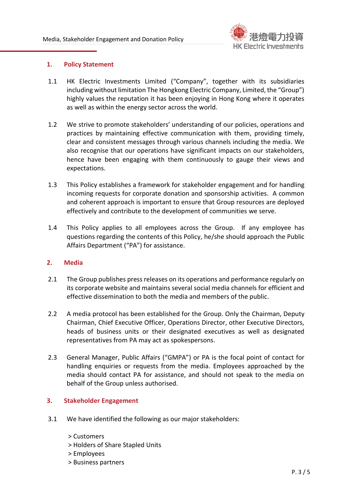

#### **1. Policy Statement**

- 1.1 HK Electric Investments Limited ("Company", together with its subsidiaries including without limitation The Hongkong Electric Company, Limited, the "Group") highly values the reputation it has been enjoying in Hong Kong where it operates as well as within the energy sector across the world.
- 1.2 We strive to promote stakeholders' understanding of our policies, operations and practices by maintaining effective communication with them, providing timely, clear and consistent messages through various channels including the media. We also recognise that our operations have significant impacts on our stakeholders, hence have been engaging with them continuously to gauge their views and expectations.
- 1.3 This Policy establishes a framework for stakeholder engagement and for handling incoming requests for corporate donation and sponsorship activities. A common and coherent approach is important to ensure that Group resources are deployed effectively and contribute to the development of communities we serve.
- 1.4 This Policy applies to all employees across the Group. If any employee has questions regarding the contents of this Policy, he/she should approach the Public Affairs Department ("PA") for assistance.

#### **2. Media**

- 2.1 The Group publishes press releases on its operations and performance regularly on its corporate website and maintains several social media channels for efficient and effective dissemination to both the media and members of the public.
- 2.2 A media protocol has been established for the Group. Only the Chairman, Deputy Chairman, Chief Executive Officer, Operations Director, other Executive Directors, heads of business units or their designated executives as well as designated representatives from PA may act as spokespersons.
- 2.3 General Manager, Public Affairs ("GMPA") or PA is the focal point of contact for handling enquiries or requests from the media. Employees approached by the media should contact PA for assistance, and should not speak to the media on behalf of the Group unless authorised.

#### **3. Stakeholder Engagement**

- 3.1 We have identified the following as our major stakeholders:
	- > Customers
	- > Holders of Share Stapled Units
	- > Employees
	- > Business partners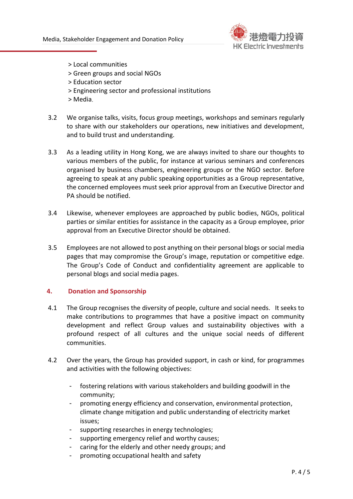

- > Local communities
- > Green groups and social NGOs
- > Education sector
- > Engineering sector and professional institutions
- > Media.
- 3.2 We organise talks, visits, focus group meetings, workshops and seminars regularly to share with our stakeholders our operations, new initiatives and development, and to build trust and understanding.
- 3.3 As a leading utility in Hong Kong, we are always invited to share our thoughts to various members of the public, for instance at various seminars and conferences organised by business chambers, engineering groups or the NGO sector. Before agreeing to speak at any public speaking opportunities as a Group representative, the concerned employees must seek prior approval from an Executive Director and PA should be notified.
- 3.4 Likewise, whenever employees are approached by public bodies, NGOs, political parties or similar entities for assistance in the capacity as a Group employee, prior approval from an Executive Director should be obtained.
- 3.5 Employees are not allowed to post anything on their personal blogs or social media pages that may compromise the Group's image, reputation or competitive edge. The Group's Code of Conduct and confidentiality agreement are applicable to personal blogs and social media pages.

#### **4. Donation and Sponsorship**

- 4.1 The Group recognises the diversity of people, culture and social needs. It seeks to make contributions to programmes that have a positive impact on community development and reflect Group values and sustainability objectives with a profound respect of all cultures and the unique social needs of different communities.
- 4.2 Over the years, the Group has provided support, in cash or kind, for programmes and activities with the following objectives:
	- fostering relations with various stakeholders and building goodwill in the community;
	- promoting energy efficiency and conservation, environmental protection, climate change mitigation and public understanding of electricity market issues;
	- supporting researches in energy technologies;
	- supporting emergency relief and worthy causes;
	- caring for the elderly and other needy groups; and
	- promoting occupational health and safety